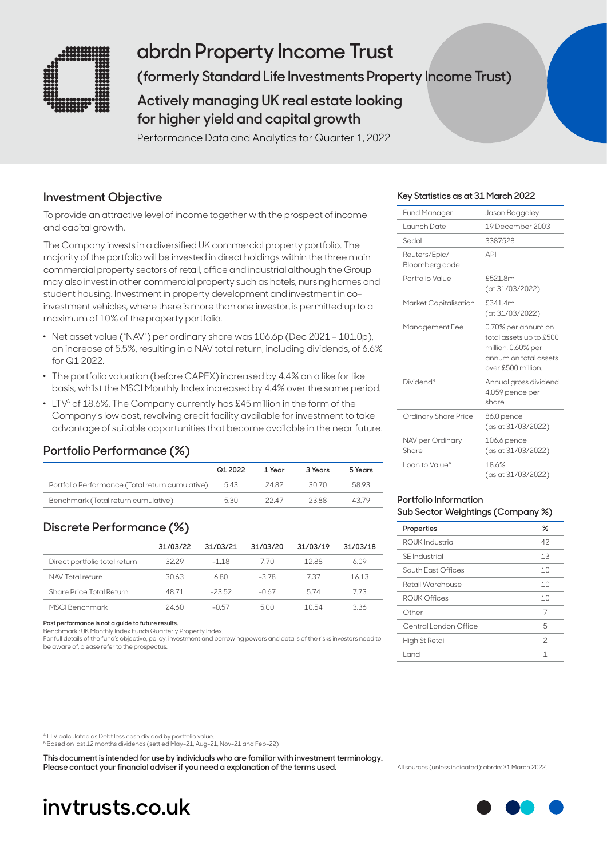

# **abrdn Property Income Trust**

**(formerly Standard Life Investments Property Income Trust)** 

## **Actively managing UK real estate looking for higher yield and capital growth**

Performance Data and Analytics for Quarter 1, 2022

### **Investment Objective**

To provide an attractive level of income together with the prospect of income and capital growth.

The Company invests in a diversified UK commercial property portfolio. The majority of the portfolio will be invested in direct holdings within the three main commercial property sectors of retail, office and industrial although the Group may also invest in other commercial property such as hotels, nursing homes and student housing. Investment in property development and investment in coinvestment vehicles, where there is more than one investor, is permitted up to a maximum of 10% of the property portfolio.

- . Net asset value ("NAV") per ordinary share was 106.6p (Dec 2021 101.0p), an increase of 5.5%, resulting in a NAV total return, including dividends, of 6.6% for Q1 2022.
- . The portfolio valuation (before CAPEX) increased by 4.4% on a like for like basis, whilst the MSCI Monthly Index increased by 4.4% over the same period.
- LTV<sup>A</sup> of 18.6%. The Company currently has £45 million in the form of the Company's low cost, revolving credit facility available for investment to take advantage of suitable opportunities that become available in the near future.

### **Portfolio Performance (%)**

|                                                 | Q12022 | 1 Year | 3 Years | 5 Years |
|-------------------------------------------------|--------|--------|---------|---------|
| Portfolio Performance (Total return cumulative) | 5.43   | 24.82  | 30.70   | 5893    |
| Benchmark (Total return cumulative)             | 5.30   | 22 A7  | 23.88   | 43.79   |

### **Discrete Performance (%)**

|                               | 31/03/22 | 31/03/21 | 31/03/20 | 31/03/19 | 31/03/18 |
|-------------------------------|----------|----------|----------|----------|----------|
| Direct portfolio total return | 3229     | $-1.18$  | 770.     | 1288     | 6.09     |
| NAV Total return              | 30.63    | 680      | -3.78    | 737      | 1613     |
| Share Price Total Return      | 48.71    | $-23.52$ | $-0.67$  | 574      | 773      |
| MSCI Benchmark                | 24.60    | $-0.57$  | 500      | 10.54    | 3.36     |

**Past performance is not a guide to future results.**

Benchmark : UK Monthly Index Funds Quarterly Property Index.

For full details of the fund's objective, policy, investment and borrowing powers and details of the risks investors need to be aware of, please refer to the prospectus.

#### **Key Statistics as at 31 March 2022**

| Fund Manager                    | Jason Baggaley                                                                                                     |
|---------------------------------|--------------------------------------------------------------------------------------------------------------------|
| Launch Date                     | 19 December 2003                                                                                                   |
| Sedol                           | 3387528                                                                                                            |
| Reuters/Epic/<br>Bloomberg code | API                                                                                                                |
| Portfolio Value                 | £521.8m<br>(at 31/03/2022)                                                                                         |
| Market Capitalisation           | £341.4m<br>(at 31/03/2022)                                                                                         |
| Management Fee                  | 0.70% per annum on<br>total assets up to £500<br>million, 0.60% per<br>annum on total assets<br>over £500 million. |
| Dividend <sup>B</sup>           | Annual gross dividend<br>4.059 pence per<br>share                                                                  |
| Ordinary Share Price            | 86.0 pence<br>(as at 31/03/2022)                                                                                   |
| NAV per Ordinary<br>Share       | 106.6 pence<br>(as at 31/03/2022)                                                                                  |
| Loan to Value <sup>A</sup>      | 186%<br>(as at 31/03/2022)                                                                                         |

#### **Portfolio Information Sub Sector Weightings (Company %)**

| Properties            | ℅          |
|-----------------------|------------|
| ROUK Industrial       | 42         |
| <b>SE</b> Industrial  | 13         |
| South East Offices    | 10         |
| Retail Warehouse      | 10         |
| ROUK Offices          | $1 \Omega$ |
| Other                 | 7          |
| Central London Office | 5          |
| High St Retail        | 2          |
| Land                  |            |

A LTV calculated as Debt less cash divided by portfolio value.

B Based on last 12 months dividends (settled May-21, Aug-21, Nov-21 and Feb-22)

**This document is intended for use by individuals who are familiar with investment terminology. Please contact your financial adviser if you need a explanation of the terms used.** All sources (unless indicated): abrdn: 31 March 2022

# **invtrusts.co.uk**

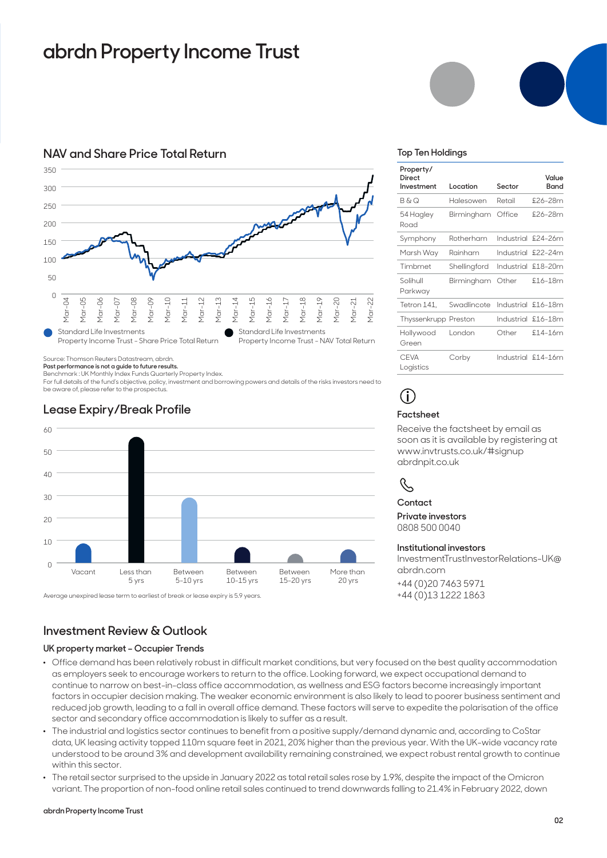# **abrdn Property Income Trust**

#### **NAV and Share Price Total Return**



Source: Thomson Reuters Datastream, abrdn.

**Past performance is not a guide to future results.** 

Benchmark : UK Monthly Index Funds Quarterly Property Index.

For full details of the fund's objective, policy, investment and borrowing powers and details of the risks investors need to be aware of, please refer to the prospectus.



### **Lease Expiry/Break Profile**



### **Investment Review & Outlook**

#### **UK property market – Occupier Trends**

- . Office demand has been relatively robust in difficult market conditions, but very focused on the best quality accommodation as employers seek to encourage workers to return to the office. Looking forward, we expect occupational demand to continue to narrow on best-in-class office accommodation, as wellness and ESG factors become increasingly important factors in occupier decision making. The weaker economic environment is also likely to lead to poorer business sentiment and reduced job growth, leading to a fall in overall office demand. These factors will serve to expedite the polarisation of the office sector and secondary office accommodation is likely to suffer as a result.
- . The industrial and logistics sector continues to benefit from a positive supply/demand dynamic and, according to CoStar data, UK leasing activity topped 110m square feet in 2021, 20% higher than the previous year. With the UK-wide vacancy rate understood to be around 3% and development availability remaining constrained, we expect robust rental growth to continue within this sector.
- . The retail sector surprised to the upside in January 2022 as total retail sales rose by 1.9%, despite the impact of the Omicron variant. The proportion of non-food online retail sales continued to trend downwards falling to 21.4% in February 2022, down

#### **abrdn Property Income Trust**

#### **Top Ten Holdings**

| Property/<br>Direct<br>Investment | Location     | Sector     | Value<br>Band      |
|-----------------------------------|--------------|------------|--------------------|
| B&O                               | Halesowen    | Retail     | £26-28m            |
| 54 Hagley<br>Road                 | Birmingham   | Office     | £26-28m            |
| Symphony                          | Rotherham    |            | Industrial £24-26m |
| Marsh Way                         | Rainham      | Industrial | $$22-24m$          |
| Timhmet                           | Shellingford |            | Industrial £18-20m |
| Solihull<br>Parkway               | Birmingham   | Other      | $$16-18m$          |
| Tetron 141,                       | Swadlincote  |            | Industrial £16-18m |
| Thyssenkrupp                      | Preston      |            | Industrial £16-18m |
| Hollywood<br>Green                | London       | Other      | $$14-16m$          |
| <b>CEVA</b><br>Logistics          | Corby        |            | Industrial £14-16m |

# **i**

#### **Factsheet**

Receive the factsheet by email as soon as it is available by registering at www.invtrusts.co.uk/#signup abrdnpit.co.uk

### R,

**Contact Private investors**  0808 500 0040

#### **Institutional investors**

InvestmentTrustInvestorRelations-UK@ abrdn.com +44 (0)20 7463 5971 +44 (0)13 1222 1863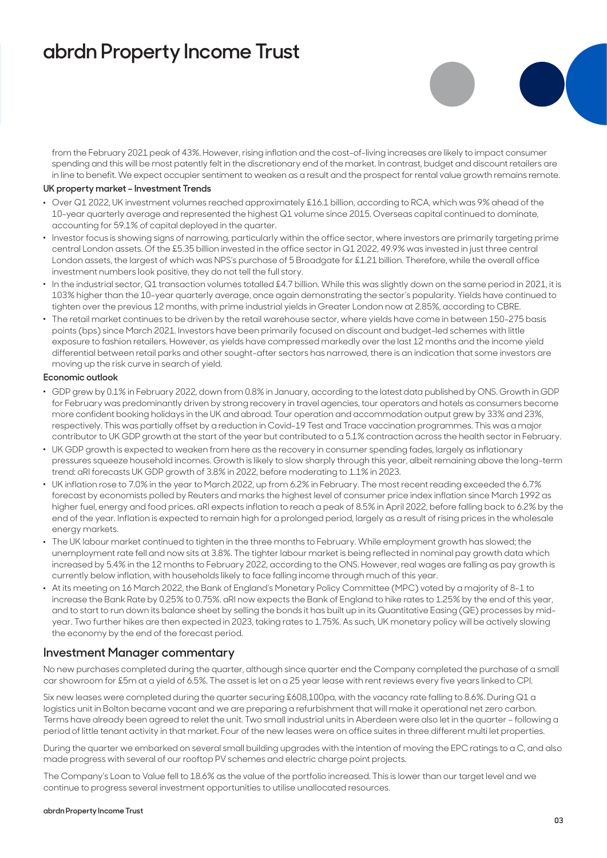# **abrdn Property Income Trust**

from the February 2021 peak of 43%. However, rising inflation and the cost-of-living increases are likely to impact consumer spending and this will be most patently felt in the discretionary end of the market. In contrast, budget and discount retailers are in line to benefit. We expect occupier sentiment to weaken as a result and the prospect for rental value growth remains remote.

#### **UK property market – Investment Trends**

- . Over Q1 2022, UK investment volumes reached approximately £16.1 billion, according to RCA, which was 9% ahead of the 10-year quarterly average and represented the highest Q1 volume since 2015. Overseas capital continued to dominate, accounting for 59.1% of capital deployed in the quarter.
- . Investor focus is showing signs of narrowing, particularly within the office sector, where investors are primarily targeting prime central London assets. Of the £5.35 billion invested in the office sector in Q1 2022, 49.9% was invested in just three central London assets, the largest of which was NPS's purchase of 5 Broadgate for £1.21 billion. Therefore, while the overall office investment numbers look positive, they do not tell the full story.
- . In the industrial sector, Q1 transaction volumes totalled £4.7 billion. While this was slightly down on the same period in 2021, it is 103% higher than the 10-year quarterly average, once again demonstrating the sector's popularity. Yields have continued to tighten over the previous 12 months, with prime industrial yields in Greater London now at 2.85%, according to CBRE.
- . The retail market continues to be driven by the retail warehouse sector, where yields have come in between 150-275 basis points (bps) since March 2021. Investors have been primarily focused on discount and budget-led schemes with little exposure to fashion retailers. However, as yields have compressed markedly over the last 12 months and the income yield differential between retail parks and other sought-after sectors has narrowed, there is an indication that some investors are moving up the risk curve in search of yield.

#### **Economic outlook**

- . GDP grew by 0.1% in February 2022, down from 0.8% in January, according to the latest data published by ONS. Growth in GDP for February was predominantly driven by strong recovery in travel agencies, tour operators and hotels as consumers become more confident booking holidays in the UK and abroad. Tour operation and accommodation output grew by 33% and 23%, respectively. This was partially offset by a reduction in Covid-19 Test and Trace vaccination programmes. This was a major contributor to UK GDP growth at the start of the year but contributed to a 5.1% contraction across the health sector in February.
- . UK GDP growth is expected to weaken from here as the recovery in consumer spending fades, largely as inflationary pressures squeeze household incomes. Growth is likely to slow sharply through this year, albeit remaining above the long-term trend: aRI forecasts UK GDP growth of 3.8% in 2022, before moderating to 1.1% in 2023.
- . UK inflation rose to 7.0% in the year to March 2022, up from 6.2% in February. The most recent reading exceeded the 6.7% forecast by economists polled by Reuters and marks the highest level of consumer price index inflation since March 1992 as higher fuel, energy and food prices. aRI expects inflation to reach a peak of 8.5% in April 2022, before falling back to 6.2% by the end of the year. Inflation is expected to remain high for a prolonged period, largely as a result of rising prices in the wholesale energy markets.
- . The UK labour market continued to tighten in the three months to February. While employment growth has slowed; the unemployment rate fell and now sits at 3.8%. The tighter labour market is being reflected in nominal pay growth data which increased by 5.4% in the 12 months to February 2022, according to the ONS. However, real wages are falling as pay growth is currently below inflation, with households likely to face falling income through much of this year.
- . At its meeting on 16 March 2022, the Bank of England's Monetary Policy Committee (MPC) voted by a majority of 8-1 to increase the Bank Rate by 0.25% to 0.75%. aRI now expects the Bank of England to hike rates to 1.25% by the end of this year, and to start to run down its balance sheet by selling the bonds it has built up in its Quantitative Easing (QE) processes by midyear. Two further hikes are then expected in 2023, taking rates to 1.75%. As such, UK monetary policy will be actively slowing the economy by the end of the forecast period.

#### **Investment Manager commentary**

No new purchases completed during the quarter, although since quarter end the Company completed the purchase of a small car showroom for £5m at a yield of 6.5%. The asset is let on a 25 year lease with rent reviews every five years linked to CPI.

Six new leases were completed during the quarter securing £608,100pa, with the vacancy rate falling to 8.6%. During Q1 a logistics unit in Bolton became vacant and we are preparing a refurbishment that will make it operational net zero carbon. Terms have already been agreed to relet the unit. Two small industrial units in Aberdeen were also let in the quarter – following a period of little tenant activity in that market. Four of the new leases were on office suites in three different multi let properties.

During the quarter we embarked on several small building upgrades with the intention of moving the EPC ratings to a C, and also made progress with several of our rooftop PV schemes and electric charge point projects.

The Company's Loan to Value fell to 18.6% as the value of the portfolio increased. This is lower than our target level and we continue to progress several investment opportunities to utilise unallocated resources.